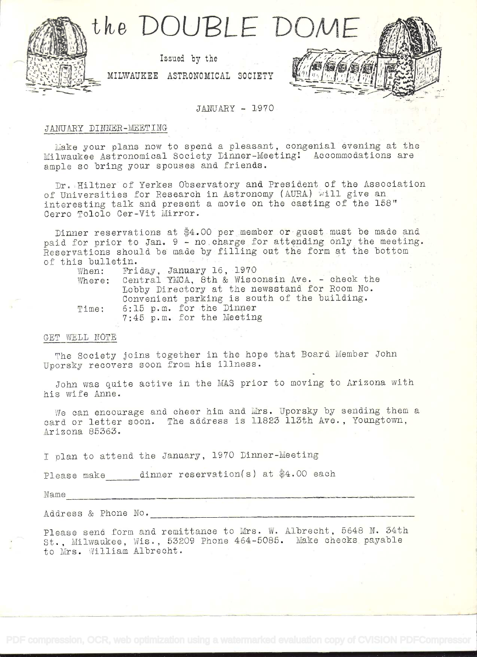

## JANUARY - 1970

# JANUARY DINNER-MEETING

Make your plans now to spend a pleasant, congenial evening at the Milwaukee Astronomical Society Dinner-Meeting! Accommodations are ample so bring your spouses and friends.

Dr. Hiltner of Yerkes Observatory and President of the Association of Universities for Research in Astronomy (AURA) will give an interesting talk and present a movie on the casting of the 158" Cerro Tololo Cer-Vit Mirror.

Dinner reservations at \$4.00 per member or guest must be made and paid for prior to Jan. 9 - no charge for attending only the meeting. Reservations should be made by filling out the form at the bottom of this bulletin.

| When:  | Friday, January 16. 1970                       |
|--------|------------------------------------------------|
| Where: | Central YMCA, 8th & Wisconsin Ave. - check the |
|        | Lobby Directory at the newsstand for Room No.  |
|        | Convenient parking is south of the building.   |
| Time:  | 6:15 p.m. for the Dinner                       |
|        | 7:45 p.m. for the Meeting                      |

#### GET WELL NOTE

The Society joins together in the hope that Board Member John Uporsky recovers soon from his illness.

John was quite active in the MAS prior to moving to Arizona with his wife Anne.

We can encourage and cheer him and Mrs. Uporsky by sending them a card or letter soon. The address is 11823 113th Ave., Youngtown, Arizona 85363.

I plan to attend the January, 1970 Dinner-Meeting

Please make dinner reservation(s) at \$4.00 each

Name

Address & Phone No.

Please send form and remittance to Mrs. W. Albrecht, 5648 N. 34th St., Milwaukee, Wis., 53209 Phone 464-5085. Make checks payable to Mrs. William Albrecht.